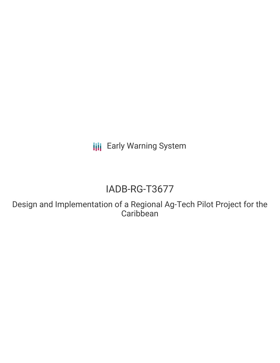**III** Early Warning System

# IADB-RG-T3677

Design and Implementation of a Regional Ag-Tech Pilot Project for the **Caribbean**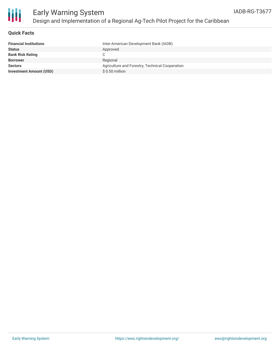

## **Quick Facts**

| <b>Financial Institutions</b>  | Inter-American Development Bank (IADB)          |
|--------------------------------|-------------------------------------------------|
| <b>Status</b>                  | Approved                                        |
| <b>Bank Risk Rating</b>        |                                                 |
| <b>Borrower</b>                | Regional                                        |
| <b>Sectors</b>                 | Agriculture and Forestry, Technical Cooperation |
| <b>Investment Amount (USD)</b> | $$0.50$ million                                 |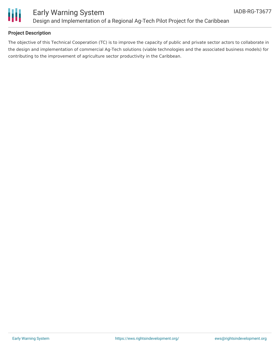

# **Project Description**

The objective of this Technical Cooperation (TC) is to improve the capacity of public and private sector actors to collaborate in the design and implementation of commercial Ag-Tech solutions (viable technologies and the associated business models) for contributing to the improvement of agriculture sector productivity in the Caribbean.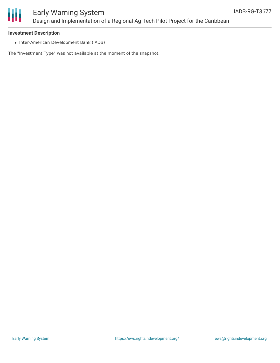

### **Investment Description**

• Inter-American Development Bank (IADB)

The "Investment Type" was not available at the moment of the snapshot.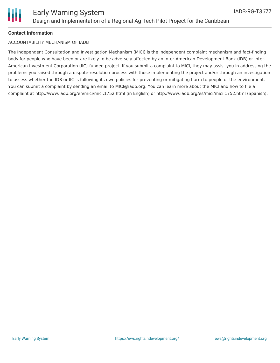

#### **Contact Information**

#### ACCOUNTABILITY MECHANISM OF IADB

The Independent Consultation and Investigation Mechanism (MICI) is the independent complaint mechanism and fact-finding body for people who have been or are likely to be adversely affected by an Inter-American Development Bank (IDB) or Inter-American Investment Corporation (IIC)-funded project. If you submit a complaint to MICI, they may assist you in addressing the problems you raised through a dispute-resolution process with those implementing the project and/or through an investigation to assess whether the IDB or IIC is following its own policies for preventing or mitigating harm to people or the environment. You can submit a complaint by sending an email to MICI@iadb.org. You can learn more about the MICI and how to file a complaint at http://www.iadb.org/en/mici/mici,1752.html (in English) or http://www.iadb.org/es/mici/mici,1752.html (Spanish).